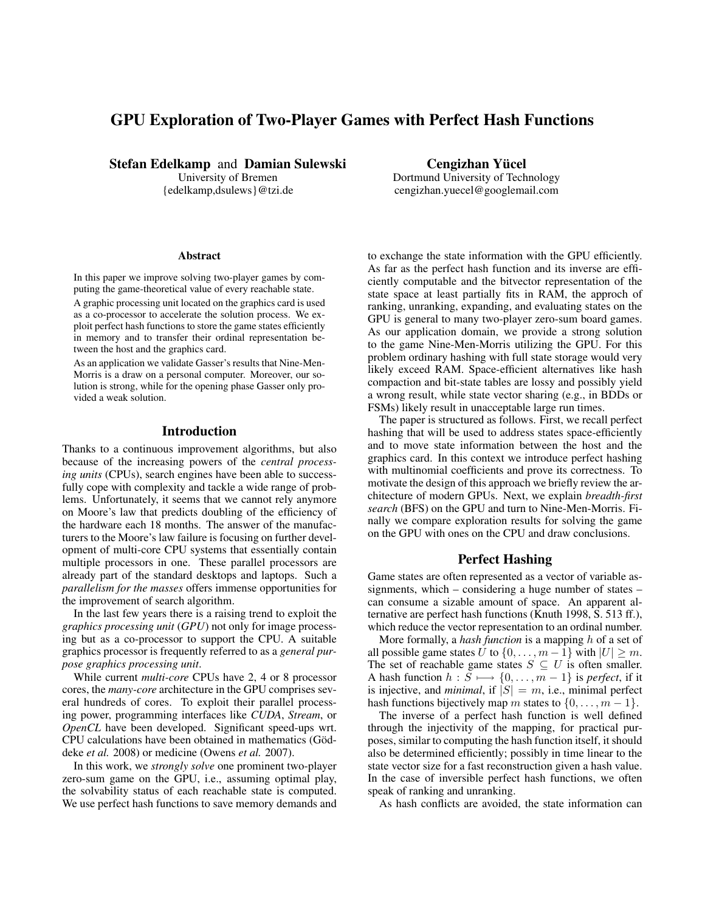# GPU Exploration of Two-Player Games with Perfect Hash Functions

Stefan Edelkamp and Damian Sulewski

University of Bremen {edelkamp,dsulews}@tzi.de

Cengizhan Yücel Dortmund University of Technology cengizhan.yuecel@googlemail.com

#### **Abstract**

In this paper we improve solving two-player games by computing the game-theoretical value of every reachable state.

A graphic processing unit located on the graphics card is used as a co-processor to accelerate the solution process. We exploit perfect hash functions to store the game states efficiently in memory and to transfer their ordinal representation between the host and the graphics card.

As an application we validate Gasser's results that Nine-Men-Morris is a draw on a personal computer. Moreover, our solution is strong, while for the opening phase Gasser only provided a weak solution.

### Introduction

Thanks to a continuous improvement algorithms, but also because of the increasing powers of the *central processing units* (CPUs), search engines have been able to successfully cope with complexity and tackle a wide range of problems. Unfortunately, it seems that we cannot rely anymore on Moore's law that predicts doubling of the efficiency of the hardware each 18 months. The answer of the manufacturers to the Moore's law failure is focusing on further development of multi-core CPU systems that essentially contain multiple processors in one. These parallel processors are already part of the standard desktops and laptops. Such a *parallelism for the masses* offers immense opportunities for the improvement of search algorithm.

In the last few years there is a raising trend to exploit the *graphics processing unit* (*GPU*) not only for image processing but as a co-processor to support the CPU. A suitable graphics processor is frequently referred to as a *general purpose graphics processing unit*.

While current *multi-core* CPUs have 2, 4 or 8 processor cores, the *many-core* architecture in the GPU comprises several hundreds of cores. To exploit their parallel processing power, programming interfaces like *CUDA*, *Stream*, or *OpenCL* have been developed. Significant speed-ups wrt. CPU calculations have been obtained in mathematics (Göddeke *et al.* 2008) or medicine (Owens *et al.* 2007).

In this work, we *strongly solve* one prominent two-player zero-sum game on the GPU, i.e., assuming optimal play, the solvability status of each reachable state is computed. We use perfect hash functions to save memory demands and

to exchange the state information with the GPU efficiently. As far as the perfect hash function and its inverse are efficiently computable and the bitvector representation of the state space at least partially fits in RAM, the approch of ranking, unranking, expanding, and evaluating states on the GPU is general to many two-player zero-sum board games. As our application domain, we provide a strong solution to the game Nine-Men-Morris utilizing the GPU. For this problem ordinary hashing with full state storage would very likely exceed RAM. Space-efficient alternatives like hash compaction and bit-state tables are lossy and possibly yield a wrong result, while state vector sharing (e.g., in BDDs or FSMs) likely result in unacceptable large run times.

The paper is structured as follows. First, we recall perfect hashing that will be used to address states space-efficiently and to move state information between the host and the graphics card. In this context we introduce perfect hashing with multinomial coefficients and prove its correctness. To motivate the design of this approach we briefly review the architecture of modern GPUs. Next, we explain *breadth-first search* (BFS) on the GPU and turn to Nine-Men-Morris. Finally we compare exploration results for solving the game on the GPU with ones on the CPU and draw conclusions.

## Perfect Hashing

Game states are often represented as a vector of variable assignments, which – considering a huge number of states – can consume a sizable amount of space. An apparent alternative are perfect hash functions (Knuth 1998, S. 513 ff.), which reduce the vector representation to an ordinal number.

More formally, a *hash function* is a mapping h of a set of all possible game states  $\hat{U}$  to  $\{0, \ldots, m-1\}$  with  $|U| \geq m$ . The set of reachable game states  $S \subseteq U$  is often smaller. A hash function  $h : S \longrightarrow \{0, \ldots, m-1\}$  is *perfect*, if it is injective, and *minimal*, if  $|S| = m$ , i.e., minimal perfect hash functions bijectively map m states to  $\{0, \ldots, m-1\}$ .

The inverse of a perfect hash function is well defined through the injectivity of the mapping, for practical purposes, similar to computing the hash function itself, it should also be determined efficiently; possibly in time linear to the state vector size for a fast reconstruction given a hash value. In the case of inversible perfect hash functions, we often speak of ranking and unranking.

As hash conflicts are avoided, the state information can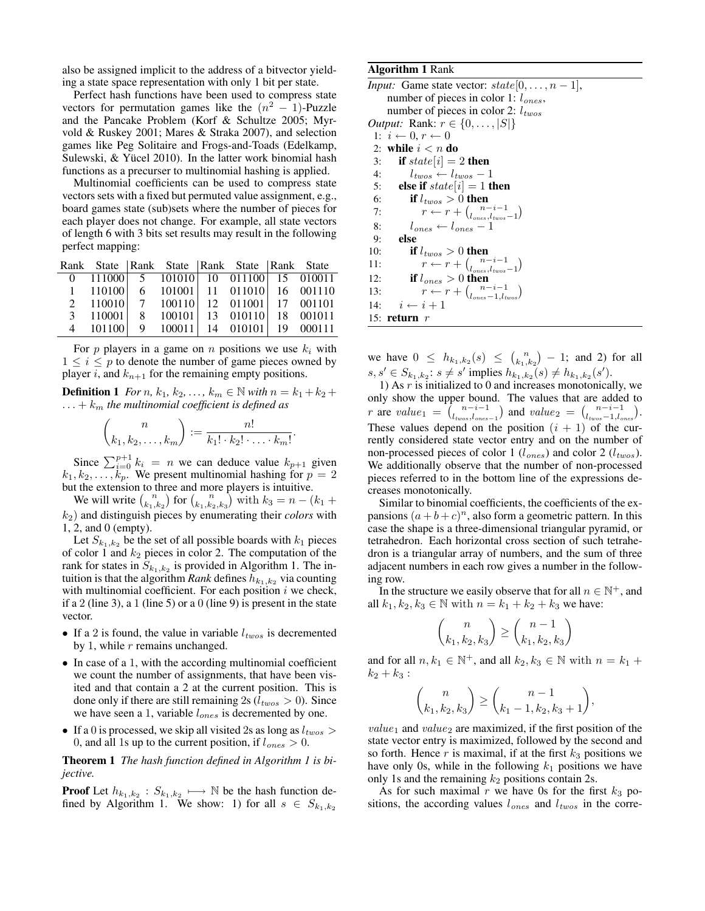also be assigned implicit to the address of a bitvector yielding a state space representation with only 1 bit per state.

Perfect hash functions have been used to compress state vectors for permutation games like the  $(n^2 - 1)$ -Puzzle and the Pancake Problem (Korf & Schultze 2005; Myrvold & Ruskey 2001; Mares & Straka 2007), and selection games like Peg Solitaire and Frogs-and-Toads (Edelkamp, Sulewski, & Yücel 2010). In the latter work binomial hash functions as a precurser to multinomial hashing is applied.

Multinomial coefficients can be used to compress state vectors sets with a fixed but permuted value assignment, e.g., board games state (sub)sets where the number of pieces for each player does not change. For example, all state vectors of length 6 with 3 bits set results may result in the following perfect mapping:

|  |  | Rank State   Rank State   Rank State   Rank State                                 |  |
|--|--|-----------------------------------------------------------------------------------|--|
|  |  | 0 111000 5 101010 10 011100 15 010011                                             |  |
|  |  | $1 \quad 110100 \quad 6 \quad 101001 \quad 11 \quad 011010 \quad 16 \quad 001110$ |  |
|  |  | 2 110010 7 100110 12 011001 17 001101                                             |  |
|  |  | 3 110001 8 100101 13 010110 18 001011                                             |  |
|  |  | 4 101100 9 100011 14 010101 19 000111                                             |  |

For  $p$  players in a game on  $n$  positions we use  $k_i$  with  $1 \leq i \leq p$  to denote the number of game pieces owned by player i, and  $k_{n+1}$  for the remaining empty positions.

**Definition 1** *For n*,  $k_1$ ,  $k_2$ , ...,  $k_m \in \mathbb{N}$  *with*  $n = k_1 + k_2 + k_3$  $\dots + k_m$  the multinomial coefficient is defined as

$$
\binom{n}{k_1,k_2,\ldots,k_m} := \frac{n!}{k_1! \cdot k_2! \cdot \ldots \cdot k_m!}.
$$

Since  $\sum_{i=0}^{p+1} k_i = n$  we can deduce value  $k_{p+1}$  given  $k_1, k_2, \ldots, k_p$ . We present multinomial hashing for  $p = 2$ but the extension to three and more players is intuitive.

We will write  $\binom{n}{k_1,k_2}$  for  $\binom{n}{k_1,k_2,k_3}$  with  $k_3 = n - (k_1 + k_2)$ k2) and distinguish pieces by enumerating their *colors* with 1, 2, and 0 (empty).

Let  $S_{k_1,k_2}$  be the set of all possible boards with  $k_1$  pieces of color 1 and  $k_2$  pieces in color 2. The computation of the rank for states in  $S_{k_1,k_2}$  is provided in Algorithm 1. The intuition is that the algorithm *Rank* defines  $h_{k_1,k_2}$  via counting with multinomial coefficient. For each position  $i$  we check, if a 2 (line 3), a 1 (line 5) or a 0 (line 9) is present in the state vector.

- If a 2 is found, the value in variable  $l_{two}$  is decremented by 1, while  $r$  remains unchanged.
- In case of a 1, with the according multinomial coefficient we count the number of assignments, that have been visited and that contain a 2 at the current position. This is done only if there are still remaining 2s ( $l_{twos} > 0$ ). Since we have seen a 1, variable  $l_{ones}$  is decremented by one.
- If a 0 is processed, we skip all visited 2s as long as  $l_{twos}$  > 0, and all 1s up to the current position, if  $l_{ones} > 0$ .

Theorem 1 *The hash function defined in Algorithm 1 is bijective.*

**Proof** Let  $h_{k_1,k_2}: S_{k_1,k_2} \longrightarrow \mathbb{N}$  be the hash function defined by Algorithm 1. We show: 1) for all  $s \in S_{k_1,k_2}$ 

#### Algorithm 1 Rank

*Input:* Game state vector:  $state[0, \ldots, n-1]$ , number of pieces in color 1:  $l_{ones}$ , number of pieces in color 2:  $l_{twos}$ *Output:* Rank:  $r \in \{0, ..., |S|\}$ 1:  $i \leftarrow 0, r \leftarrow 0$ 2: while  $i < n$  do 3: if  $state[i] = 2$  then 4:  $l_{twos} \leftarrow l_{twos} - 1$ 5: **else if**  $state[i] = 1$  **then** 6: if  $l_{twos} > 0$  then 7:  $r \leftarrow r + \binom{n-i-1}{l_{ones},l_{twos}-1}$ 8:  $l_{ones} \leftarrow l_{ones} - 1$ 9: else 10: **if**  $l_{twos} > 0$  then 11:  $r \leftarrow r + \binom{n-i-1}{l_{ones},l_{twos}-1}$ 12: if  $l_{ones} > 0$  then 13:  $r \leftarrow r + \binom{n-i-1}{l_{ones}-1, l_{two}}$ 14:  $i \leftarrow i + 1$ 15: return r

we have  $0 \leq h_{k_1,k_2}(s) \leq {n \choose k_1,k_2} - 1$ ; and 2) for all  $s, s' \in S_{k_1,k_2}: s \neq s'$  implies  $h_{k_1,k_2}(s) \neq h_{k_1,k_2}(s')$ .

1) As  $r$  is initialized to 0 and increases monotonically, we only show the upper bound. The values that are added to r are value<sub>1</sub> =  $\binom{n-i-1}{l_{two}, l_{ones-1}}$  and  $value_2 = \binom{n-i-1}{l_{two}, l_{ones}}$ . These values depend on the position  $(i + 1)$  of the currently considered state vector entry and on the number of non-processed pieces of color 1 ( $l_{ones}$ ) and color 2 ( $l_{twos}$ ). We additionally observe that the number of non-processed pieces referred to in the bottom line of the expressions decreases monotonically.

Similar to binomial coefficients, the coefficients of the expansions  $(a + b + c)^n$ , also form a geometric pattern. In this case the shape is a three-dimensional triangular pyramid, or tetrahedron. Each horizontal cross section of such tetrahedron is a triangular array of numbers, and the sum of three adjacent numbers in each row gives a number in the following row.

In the structure we easily observe that for all  $n \in \mathbb{N}^+$ , and all  $k_1, k_2, k_3 \in \mathbb{N}$  with  $n = k_1 + k_2 + k_3$  we have:

$$
\binom{n}{k_1, k_2, k_3} \ge \binom{n-1}{k_1, k_2, k_3}
$$

and for all  $n, k_1 \in \mathbb{N}^+$ , and all  $k_2, k_3 \in \mathbb{N}$  with  $n = k_1 +$  $k_2 + k_3$ :

$$
\binom{n}{k_1, k_2, k_3} \ge \binom{n-1}{k_1 - 1, k_2, k_3 + 1},
$$

 $value_1$  and  $value_2$  are maximized, if the first position of the state vector entry is maximized, followed by the second and so forth. Hence  $r$  is maximal, if at the first  $k_3$  positions we have only 0s, while in the following  $k_1$  positions we have only 1s and the remaining  $k_2$  positions contain 2s.

As for such maximal r we have 0s for the first  $k_3$  positions, the according values  $l_{ones}$  and  $l_{two}$  in the corre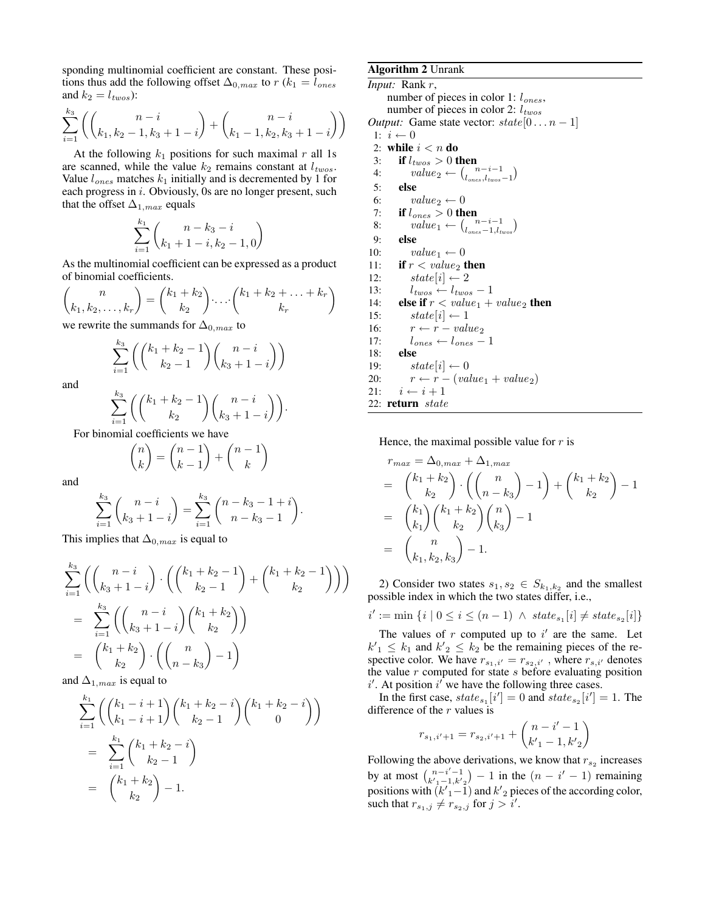sponding multinomial coefficient are constant. These positions thus add the following offset  $\Delta_{0,max}$  to  $r (k_1 = l_{ones})$ and  $k_2 = l_{twos}$ ):

$$
\sum_{i=1}^{k_3} \left( \binom{n-i}{k_1, k_2 - 1, k_3 + 1 - i} + \binom{n-i}{k_1 - 1, k_2, k_3 + 1 - i} \right)
$$

At the following  $k_1$  positions for such maximal r all 1s are scanned, while the value  $k_2$  remains constant at  $l_{two}$ . Value  $l_{ones}$  matches  $k_1$  initially and is decremented by 1 for each progress in i. Obviously, 0s are no longer present, such that the offset  $\Delta_{1,max}$  equals

$$
\sum_{i=1}^{k_1} \binom{n - k_3 - i}{k_1 + 1 - i, k_2 - 1, 0}
$$

As the multinomial coefficient can be expressed as a product of binomial coefficients.

$$
\binom{n}{k_1, k_2, \dots, k_r} = \binom{k_1 + k_2}{k_2} \cdots \binom{k_1 + k_2 + \dots + k_r}{k_r}
$$

we rewrite the summands for  $\Delta_{0,max}$  to

$$
\sum_{i=1}^{k_3} \left( {k_1 + k_2 - 1 \choose k_2 - 1} {n - i \choose k_3 + 1 - i} \right)
$$

and

$$
\sum_{i=1}^{k_3} \left( \binom{k_1+k_2-1}{k_2} \binom{n-i}{k_3+1-i} \right).
$$

For binomial coefficients we have

$$
\binom{n}{k} = \binom{n-1}{k-1} + \binom{n-1}{k}
$$

and

$$
\sum_{i=1}^{k_3} {n-i \choose k_3+1-i} = \sum_{i=1}^{k_3} {n-k_3-1+i \choose n-k_3-1}.
$$

This implies that  $\Delta_{0,max}$  is equal to

$$
\sum_{i=1}^{k_3} \left( {n-i \choose k_3+1-i} \cdot {k_1+k_2-1 \choose k_2-1} + {k_1+k_2-1 \choose k_2} \right)
$$
\n
$$
= \sum_{i=1}^{k_3} \left( {n-i \choose k_3+1-i} {k_1+k_2 \choose k_2} \right)
$$
\n
$$
= {k_1+k_2 \choose k_2} \cdot {n \choose n-k_3} - 1
$$

and  $\Delta_{1,max}$  is equal to

$$
\sum_{i=1}^{k_1} \left( \binom{k_1 - i + 1}{k_1 - i + 1} \binom{k_1 + k_2 - i}{k_2 - 1} \binom{k_1 + k_2 - i}{0} \right)
$$
  
= 
$$
\sum_{i=1}^{k_1} \binom{k_1 + k_2 - i}{k_2 - 1}
$$
  
= 
$$
\binom{k_1 + k_2}{k_2} - 1.
$$

## Algorithm 2 Unrank

*Input:* Rank r, number of pieces in color 1:  $l_{ones}$ , number of pieces in color 2:  $l_{twos}$ *Output:* Game state vector:  $state[0...n-1]$ 1:  $i \leftarrow 0$ 2: while  $i < n$  do 3: if  $l_{twos} > 0$  then 4:  $value_2 \leftarrow {\binom{n-i-1}{l_{ones},l_{two}s-1}}$ 5: else 6:  $value_2 \leftarrow 0$ 7: if  $l_{ones} > 0$  then 8:  $value_1 \leftarrow \frac{n-i-1}{l_{ones}-1, l_{two}}$ 9: else 10:  $value_1 \leftarrow 0$ 11: if  $r < value_2$  then 12:  $state[i] \leftarrow 2$ 13:  $l_{twos} \leftarrow l_{twos} - 1$ 14: **else if**  $r < value_1 + value_2$  **then**<br>15: **state** $[i] \leftarrow 1$  $state[i] \leftarrow 1$ 16:  $r \leftarrow r - value_2$ <br>17:  $l_{ones} \leftarrow l_{ones} -$ 17:  $l_{ones} \leftarrow l_{ones} - 1$ <br>18: **else** else 19:  $state[i] \leftarrow 0$ 20:  $r \leftarrow r - (value_1 + value_2)$ 21:  $i \leftarrow i + 1$ 22: return state

Hence, the maximal possible value for  $r$  is

$$
r_{max} = \Delta_{0,max} + \Delta_{1,max}
$$
  
=  $\binom{k_1 + k_2}{k_2} \cdot \binom{n}{n - k_3} - 1 + \binom{k_1 + k_2}{k_2} - 1$   
=  $\binom{k_1}{k_1} \binom{k_1 + k_2}{k_2} \binom{n}{k_3} - 1$   
=  $\binom{n}{k_1, k_2, k_3} - 1$ .

2) Consider two states  $s_1, s_2 \in S_{k_1,k_2}$  and the smallest possible index in which the two states differ, i.e.,

$$
i' := \min\left\{i \mid 0 \le i \le (n-1) \; \wedge \; state_{s_1}[i] \ne state_{s_2}[i] \right\}
$$

The values of  $r$  computed up to  $i'$  are the same. Let  $k'_1 \leq k_1$  and  $k'_2 \leq k_2$  be the remaining pieces of the respective color. We have  $r_{s_1,i'} = r_{s_2,i'}$ , where  $r_{s,i'}$  denotes the value  $r$  computed for state  $s$  before evaluating position  $i'$ . At position  $i'$  we have the following three cases.

In the first case,  $state_{s_1}[i'] = 0$  and  $state_{s_2}[i'] = 1$ . The difference of the  $r$  values is

$$
r_{s_1,i'+1} = r_{s_2,i'+1} + \binom{n-i'-1}{k'-1,k'}
$$

Following the above derivations, we know that  $r_{s_2}$  increases by at most  $\binom{n-i'-1}{k'-1,k'2} - 1$  in the  $(n - i' - 1)$  remaining positions with  $(k'_{1}-1)$  and  $k'_{2}$  pieces of the according color, such that  $r_{s_1,j} \neq r_{s_2,j}$  for  $j > i'$ .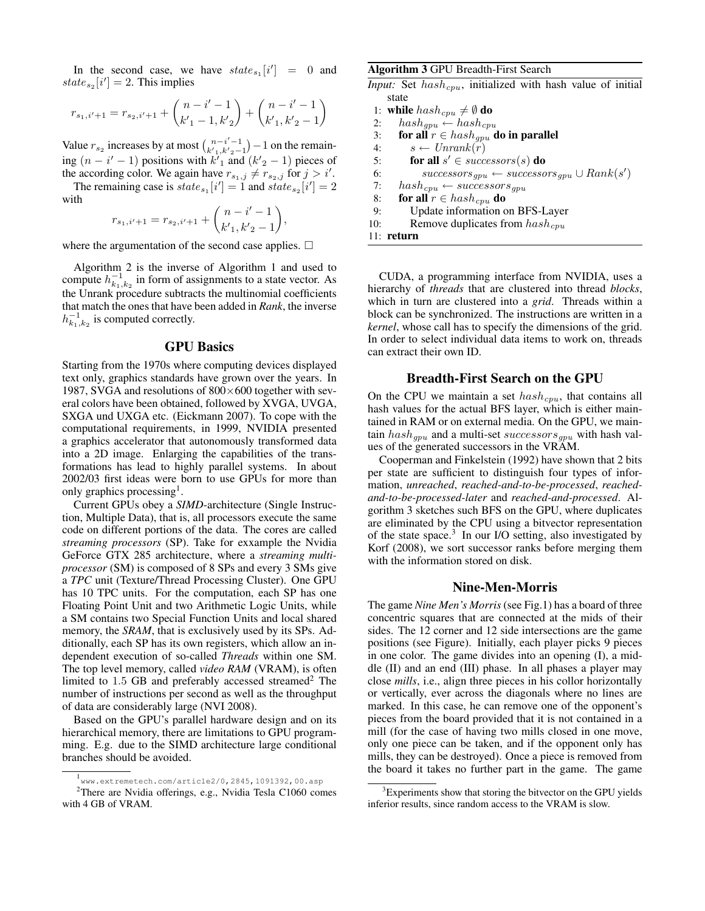In the second case, we have  $state_{s_1}[i'] = 0$  and  $state_{s_2}[i'] = 2$ . This implies

$$
r_{s_1,i'+1} = r_{s_2,i'+1} + \binom{n-i'-1}{k'_{1}-1,k'_{2}} + \binom{n-i'-1}{k'_{1},k'_{2}-1}
$$

Value  $r_{s_2}$  increases by at most  $\binom{n-i'-1}{k'+1,k'-2-1} - 1$  on the remaining  $(n - i' - 1)$  positions with  $k'_1$  and  $(k'_2 - 1)$  pieces of the according color. We again have  $r_{s_1,j} \neq r_{s_2,j}$  for  $j > i'$ .

The remaining case is  $state_{s_1}[i'] = 1$  and  $state_{s_2}[i'] = 2$ with  $(n-i'-1)$ 

$$
r_{s_1,i'+1} = r_{s_2,i'+1} + {n-i-1 \choose k'_{1},k'_{2}-1},
$$

where the argumentation of the second case applies.  $\Box$ 

Algorithm 2 is the inverse of Algorithm 1 and used to compute  $h_{k_1,k_2}^{-1}$  in form of assignments to a state vector. As the Unrank procedure subtracts the multinomial coefficients that match the ones that have been added in *Rank*, the inverse  $h_{k_1,k_2}^{-1}$  is computed correctly.

#### GPU Basics

Starting from the 1970s where computing devices displayed text only, graphics standards have grown over the years. In 1987, SVGA and resolutions of  $800\times600$  together with several colors have been obtained, followed by XVGA, UVGA, SXGA und UXGA etc. (Eickmann 2007). To cope with the computational requirements, in 1999, NVIDIA presented a graphics accelerator that autonomously transformed data into a 2D image. Enlarging the capabilities of the transformations has lead to highly parallel systems. In about 2002/03 first ideas were born to use GPUs for more than only graphics processing<sup>1</sup>.

Current GPUs obey a *SIMD*-architecture (Single Instruction, Multiple Data), that is, all processors execute the same code on different portions of the data. The cores are called *streaming processors* (SP). Take for exxample the Nvidia GeForce GTX 285 architecture, where a *streaming multiprocessor* (SM) is composed of 8 SPs and every 3 SMs give a *TPC* unit (Texture/Thread Processing Cluster). One GPU has 10 TPC units. For the computation, each SP has one Floating Point Unit and two Arithmetic Logic Units, while a SM contains two Special Function Units and local shared memory, the *SRAM*, that is exclusively used by its SPs. Additionally, each SP has its own registers, which allow an independent execution of so-called *Threads* within one SM. The top level memory, called *video RAM* (VRAM), is often limited to  $1.5$  GB and preferably accessed streamed<sup>2</sup> The number of instructions per second as well as the throughput of data are considerably large (NVI 2008).

Based on the GPU's parallel hardware design and on its hierarchical memory, there are limitations to GPU programming. E.g. due to the SIMD architecture large conditional branches should be avoided.

Algorithm 3 GPU Breadth-First Search

*Input:* Set  $hash_{cpu}$ , initialized with hash value of initial state

1: while  $hash_{cpu} \neq \emptyset$  do 2:  $hash_{qpu} \leftarrow hash_{cpu}$ 3: for all  $r \in hash_{qpu}$  do in parallel 4:  $s \leftarrow Unrank(r)$ 5: for all  $s' \in successors(s)$  do 6:  $successors_{gpu} \leftarrow successors_{gpu} \cup Rank(s')$ 7:  $hash_{cpu} \leftarrow successors_{gpu}$ 8: for all  $r \in hash_{cpu}$  do 9: Update information on BFS-Layer 10: Remove duplicates from  $hash_{cpu}$ 11: return

CUDA, a programming interface from NVIDIA, uses a hierarchy of *threads* that are clustered into thread *blocks*, which in turn are clustered into a *grid*. Threads within a block can be synchronized. The instructions are written in a *kernel*, whose call has to specify the dimensions of the grid. In order to select individual data items to work on, threads can extract their own ID.

## Breadth-First Search on the GPU

On the CPU we maintain a set  $hash_{cpu}$ , that contains all hash values for the actual BFS layer, which is either maintained in RAM or on external media. On the GPU, we maintain  $hash_{gpu}$  and a multi-set successors<sub>gpu</sub> with hash values of the generated successors in the VRAM.

Cooperman and Finkelstein (1992) have shown that 2 bits per state are sufficient to distinguish four types of information, *unreached*, *reached-and-to-be-processed*, *reachedand-to-be-processed-later* and *reached-and-processed*. Algorithm 3 sketches such BFS on the GPU, where duplicates are eliminated by the CPU using a bitvector representation of the state space.<sup>3</sup> In our I/O setting, also investigated by Korf (2008), we sort successor ranks before merging them with the information stored on disk.

## Nine-Men-Morris

The game *Nine Men's Morris* (see Fig.1) has a board of three concentric squares that are connected at the mids of their sides. The 12 corner and 12 side intersections are the game positions (see Figure). Initially, each player picks 9 pieces in one color. The game divides into an opening (I), a middle (II) and an end (III) phase. In all phases a player may close *mills*, i.e., align three pieces in his collor horizontally or vertically, ever across the diagonals where no lines are marked. In this case, he can remove one of the opponent's pieces from the board provided that it is not contained in a mill (for the case of having two mills closed in one move, only one piece can be taken, and if the opponent only has mills, they can be destroyed). Once a piece is removed from the board it takes no further part in the game. The game

<sup>1</sup> www.extremetech.com/article2/0,2845,1091392,00.asp

 $2$ There are Nvidia offerings, e.g., Nvidia Tesla C1060 comes with 4 GB of VRAM.

<sup>&</sup>lt;sup>3</sup>Experiments show that storing the bitvector on the GPU yields inferior results, since random access to the VRAM is slow.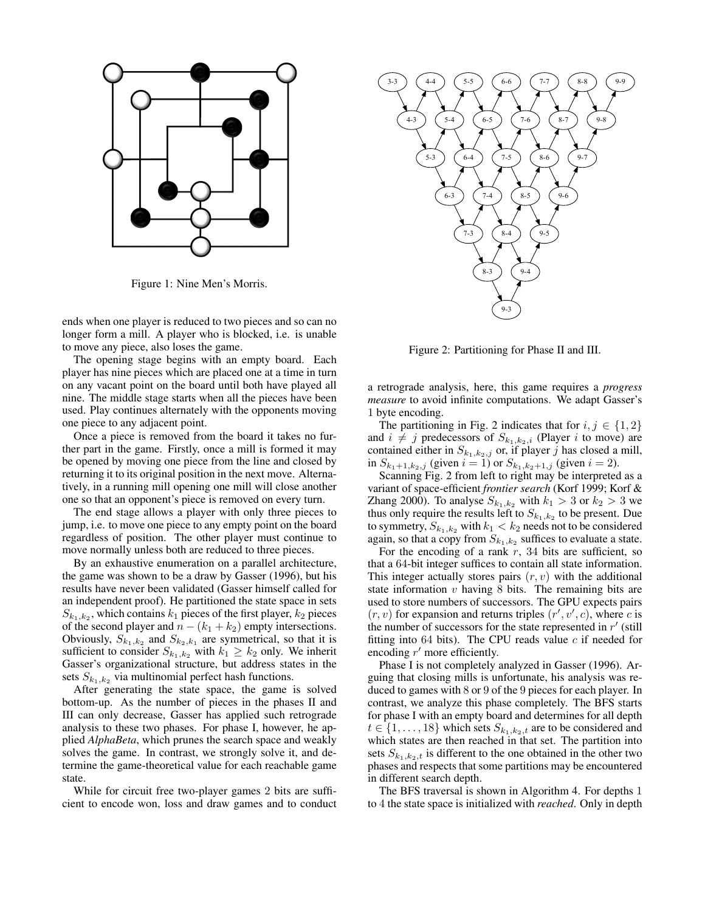

Figure 1: Nine Men's Morris.

ends when one player is reduced to two pieces and so can no longer form a mill. A player who is blocked, i.e. is unable to move any piece, also loses the game.

The opening stage begins with an empty board. Each player has nine pieces which are placed one at a time in turn on any vacant point on the board until both have played all nine. The middle stage starts when all the pieces have been used. Play continues alternately with the opponents moving one piece to any adjacent point.

Once a piece is removed from the board it takes no further part in the game. Firstly, once a mill is formed it may be opened by moving one piece from the line and closed by returning it to its original position in the next move. Alternatively, in a running mill opening one mill will close another one so that an opponent's piece is removed on every turn.

The end stage allows a player with only three pieces to jump, i.e. to move one piece to any empty point on the board regardless of position. The other player must continue to move normally unless both are reduced to three pieces.

By an exhaustive enumeration on a parallel architecture, the game was shown to be a draw by Gasser (1996), but his results have never been validated (Gasser himself called for an independent proof). He partitioned the state space in sets  $S_{k_1,k_2}$ , which contains  $k_1$  pieces of the first player,  $k_2$  pieces of the second player and  $n - (k_1 + k_2)$  empty intersections. Obviously,  $S_{k_1,k_2}$  and  $S_{k_2,k_1}$  are symmetrical, so that it is sufficient to consider  $S_{k_1,k_2}$  with  $k_1 \geq k_2$  only. We inherit Gasser's organizational structure, but address states in the sets  $S_{k_1,k_2}$  via multinomial perfect hash functions.

After generating the state space, the game is solved bottom-up. As the number of pieces in the phases II and III can only decrease, Gasser has applied such retrograde analysis to these two phases. For phase I, however, he applied *AlphaBeta*, which prunes the search space and weakly solves the game. In contrast, we strongly solve it, and determine the game-theoretical value for each reachable game state.

While for circuit free two-player games 2 bits are sufficient to encode won, loss and draw games and to conduct



Figure 2: Partitioning for Phase II and III.

a retrograde analysis, here, this game requires a *progress measure* to avoid infinite computations. We adapt Gasser's 1 byte encoding.

The partitioning in Fig. 2 indicates that for  $i, j \in \{1, 2\}$ and  $i \neq j$  predecessors of  $S_{k_1,k_2,i}$  (Player i to move) are contained either in  $S_{k_1,k_2,j}$  or, if player j has closed a mill, in  $S_{k_1+1,k_2,j}$  (given  $i = 1$ ) or  $S_{k_1,k_2+1,j}$  (given  $i = 2$ ).

Scanning Fig. 2 from left to right may be interpreted as a variant of space-efficient *frontier search* (Korf 1999; Korf & Zhang 2000). To analyse  $S_{k_1,k_2}$  with  $k_1 > 3$  or  $k_2 > 3$  we thus only require the results left to  $S_{k_1,k_2}$  to be present. Due to symmetry,  $S_{k_1,k_2}$  with  $k_1 < k_2$  needs not to be considered again, so that a copy from  $S_{k_1,k_2}$  suffices to evaluate a state.

For the encoding of a rank  $r$ , 34 bits are sufficient, so that a 64-bit integer suffices to contain all state information. This integer actually stores pairs  $(r, v)$  with the additional state information  $v$  having  $8$  bits. The remaining bits are used to store numbers of successors. The GPU expects pairs  $(r, v)$  for expansion and returns triples  $(r', v', c)$ , where c is the number of successors for the state represented in  $r'$  (still fitting into 64 bits). The CPU reads value  $c$  if needed for encoding  $r'$  more efficiently.

Phase I is not completely analyzed in Gasser (1996). Arguing that closing mills is unfortunate, his analysis was reduced to games with 8 or 9 of the 9 pieces for each player. In contrast, we analyze this phase completely. The BFS starts for phase I with an empty board and determines for all depth  $t \in \{1, \ldots, 18\}$  which sets  $S_{k_1,k_2,t}$  are to be considered and which states are then reached in that set. The partition into sets  $S_{k_1,k_2,t}$  is different to the one obtained in the other two phases and respects that some partitions may be encountered in different search depth.

The BFS traversal is shown in Algorithm 4. For depths 1 to 4 the state space is initialized with *reached*. Only in depth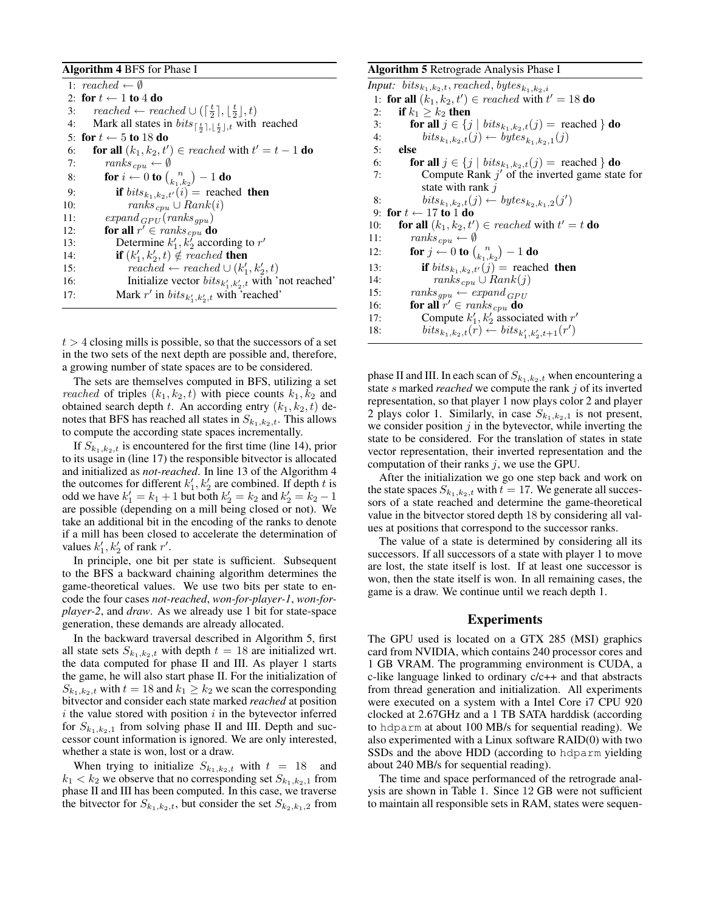#### Algorithm 4 BFS for Phase I

|     | 1: $reached \leftarrow \emptyset$                                                                 |
|-----|---------------------------------------------------------------------------------------------------|
|     | 2: for $t \leftarrow 1$ to 4 do                                                                   |
| 3:  | reached $\leftarrow$ reached $\cup$ ( $\lceil \frac{t}{2} \rceil, \lceil \frac{t}{2} \rceil, t$ ) |
| 4:  | Mark all states in $bits_{\lceil \frac{t}{2} \rceil, \lceil \frac{t}{2} \rceil, t}$ with reached  |
|     | 5: for $t \leftarrow 5$ to 18 do                                                                  |
| 6:  | <b>for all</b> $(k_1, k_2, t') \in reached$ with $t' = t - 1$ <b>do</b>                           |
| 7:  | $ranks_{cpu} \leftarrow \emptyset$                                                                |
| 8:  | for $i \leftarrow 0$ to $\binom{n}{k_1 \cdot k_2} - 1$ do                                         |
| 9:  | if $bits_{k_1,k_2,t'}(i)$ = reached then                                                          |
| 10: | $ranks_{cpu} \cup Rank(i)$                                                                        |
| 11: | $expand_{GPI}(ranks_{qpu})$                                                                       |
| 12: | for all $r' \in \text{ranks}_{\text{cpu}}$ do                                                     |
| 13: | Determine $k'_1, k'_2$ according to r'                                                            |
| 14: | <b>if</b> $(k'_1, k'_2, t) \notin reached$ then                                                   |
| 15: | reached $\leftarrow$ reached $\cup$ $(k'_1, k'_2, t)$                                             |
| 16: | Initialize vector $bits_{k'_1,k'_2,t}$ with 'not reached'                                         |
| 17: | Mark r' in $bits_{k'_1,k'_2,t}$ with 'reached'                                                    |
|     |                                                                                                   |

 $t > 4$  closing mills is possible, so that the successors of a set in the two sets of the next depth are possible and, therefore, a growing number of state spaces are to be considered.

The sets are themselves computed in BFS, utilizing a set *reached* of triples  $(k_1, k_2, t)$  with piece counts  $k_1, k_2$  and obtained search depth t. An according entry  $(k_1, k_2, t)$  denotes that BFS has reached all states in  $S_{k_1,k_2,t}.$  This allows to compute the according state spaces incrementally.

If  $S_{k_1,k_2,t}$  is encountered for the first time (line 14), prior to its usage in (line 17) the responsible bitvector is allocated and initialized as *not-reached*. In line 13 of the Algorithm 4 the outcomes for different  $k'_1, k'_2$  are combined. If depth t is odd we have  $k'_1 = k_1 + 1$  but both  $k'_2 = k_2$  and  $k'_2 = k_2 - 1$ are possible (depending on a mill being closed or not). We take an additional bit in the encoding of the ranks to denote if a mill has been closed to accelerate the determination of values  $k'_1, k'_2$  of rank r'.

In principle, one bit per state is sufficient. Subsequent to the BFS a backward chaining algorithm determines the game-theoretical values. We use two bits per state to encode the four cases *not-reached*, *won-for-player-1*, *won-forplayer-2*, and *draw*. As we already use 1 bit for state-space generation, these demands are already allocated.

In the backward traversal described in Algorithm 5, first all state sets  $S_{k_1,k_2,t}$  with depth  $t = 18$  are initialized wrt. the data computed for phase II and III. As player 1 starts the game, he will also start phase II. For the initialization of  $S_{k_1,k_2,t}$  with  $t = 18$  and  $k_1 \geq k_2$  we scan the corresponding bitvector and consider each state marked *reached* at position  $i$  the value stored with position  $i$  in the bytevector inferred for  $S_{k_1,k_2,1}$  from solving phase II and III. Depth and successor count information is ignored. We are only interested, whether a state is won, lost or a draw.

When trying to initialize  $S_{k_1,k_2,t}$  with  $t = 18$  and  $k_1 < k_2$  we observe that no corresponding set  $S_{k_1,k_2,1}$  from phase II and III has been computed. In this case, we traverse the bitvector for  $S_{k_1,k_2,t}$ , but consider the set  $S_{k_2,k_1,2}$  from

## Algorithm 5 Retrograde Analysis Phase I

*Input:*  $bits_{k_1,k_2,t}$ , reached, bytes<sub> $k_1,k_2,i$ </sub> 1: for all  $(k_1, k_2, t') \in reached$  with  $t' = 18$  do 2: if  $k_1 \geq k_2$  then 3: **for all**  $j \in \{j \mid bits_{k_1,k_2,t}(j) = \text{reached }\}$  **do**<br>4: *bitsk, k<sub>2</sub>t(i)*  $\leftarrow$  *butes<sub>k, k<sub>2</sub>t(i)*</sub> 4: bits<sub>k<sub>1</sub>,k<sub>2</sub>,t</sub>(j) ← bytes<sub>k<sub>1</sub>,k<sub>2</sub>,1</sub>(j) 5: else 6: **for all**  $j \in \{j \mid bits_{k_1,k_2,t}(j) = \text{reached }\}$  **do**<br>7: **Compute Rank**  $j'$  of the inverted game stat 7: Compute Rank  $j'$  of the inverted game state for state with rank j 8: bits<sub>k<sub>1</sub>,k<sub>2</sub>,t</sub>(j) ← bytes<sub>k<sub>2</sub>,k<sub>1</sub>,2</sub>(j') 9: for  $t \leftarrow 17$  to 1 do 10: **for all**  $(k_1, k_2, t') \in reached$  with  $t' = t$  **do** 11:  $ranks_{cpu} \leftarrow \emptyset$ 12: **for**  $j \leftarrow 0$  to  $\binom{n}{k_1,k_2} - 1$  do 13: **if**  $bits_{k_1,k_2,t'}(j)$  = reached **then**<br>14:  $rank(s_{cmt} \cup Rank(j))$  $ranks_{cpu} \cup Rank(j)$ 15:  $ranks_{qpu} \leftarrow expand_{GPU}$ 16: for all  $r' \in \text{ranks}_{\text{cpu}}$  do 17: Compute  $k'_1, k'_2$  associated with r' 18:  $bits_{k_1,k_2,t}(r) \leftarrow bits_{k'_1,k'_2,t+1}(r')$ 

phase II and III. In each scan of  $S_{k_1,k_2,t}$  when encountering a state s marked *reached* we compute the rank j of its inverted representation, so that player 1 now plays color 2 and player 2 plays color 1. Similarly, in case  $S_{k_1,k_2,1}$  is not present, we consider position  $j$  in the bytevector, while inverting the state to be considered. For the translation of states in state vector representation, their inverted representation and the computation of their ranks  $i$ , we use the GPU.

After the initialization we go one step back and work on the state spaces  $S_{k_1,k_2,t}$  with  $t = 17$ . We generate all successors of a state reached and determine the game-theoretical value in the bitvector stored depth 18 by considering all values at positions that correspond to the successor ranks.

The value of a state is determined by considering all its successors. If all successors of a state with player 1 to move are lost, the state itself is lost. If at least one successor is won, then the state itself is won. In all remaining cases, the game is a draw. We continue until we reach depth 1.

## Experiments

The GPU used is located on a GTX 285 (MSI) graphics card from NVIDIA, which contains 240 processor cores and 1 GB VRAM. The programming environment is CUDA, a c-like language linked to ordinary c/c++ and that abstracts from thread generation and initialization. All experiments were executed on a system with a Intel Core i7 CPU 920 clocked at 2.67GHz and a 1 TB SATA harddisk (according to hdparm at about 100 MB/s for sequential reading). We also experimented with a Linux software RAID(0) with two SSDs and the above HDD (according to hdparm yielding about 240 MB/s for sequential reading).

The time and space performanced of the retrograde analysis are shown in Table 1. Since 12 GB were not sufficient to maintain all responsible sets in RAM, states were sequen-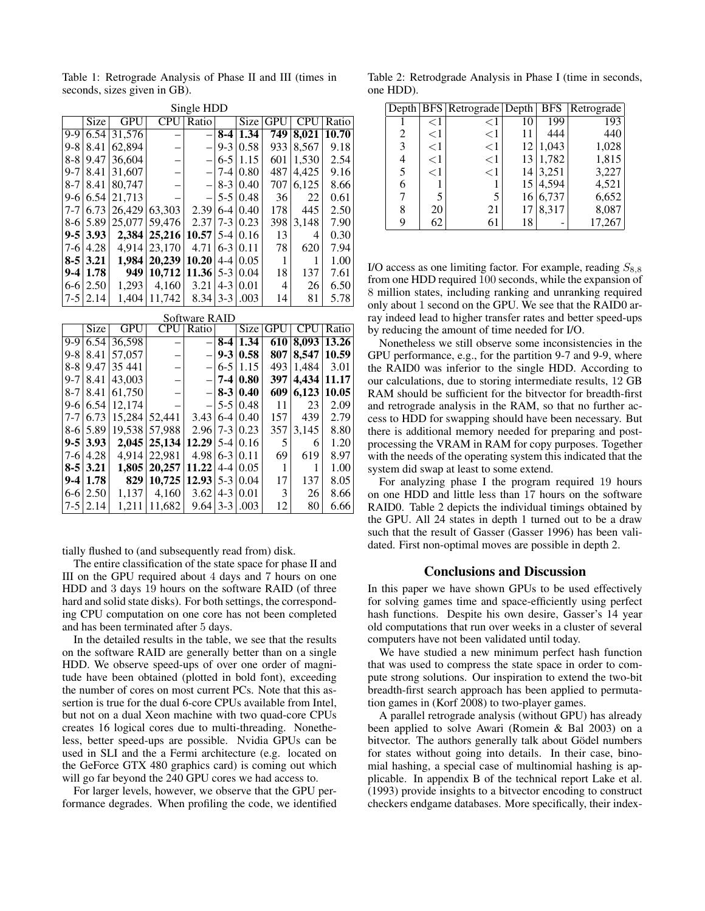Table 1: Retrograde Analysis of Phase II and III (times in seconds, sizes given in GB).

| Single HDD |               |            |            |                          |         |      |            |            |       |
|------------|---------------|------------|------------|--------------------------|---------|------|------------|------------|-------|
|            | Size          | <b>GPU</b> | <b>CPU</b> | Ratio                    |         | Size | <b>GPU</b> | <b>CPU</b> | Ratio |
| 9-9        | 6.54          | 31,576     |            |                          | $8-4$   | 1.34 | 749        | 8,021      | 10.70 |
| 9-8        | 8.41          | 62,894     |            | $\overline{\phantom{0}}$ | $9-3$   | 0.58 | 933        | 8,567      | 9.18  |
| 8-8        | 9.47          | 36,604     |            | $\overline{\phantom{0}}$ | $6 - 5$ | 1.15 | 601        | 1,530      | 2.54  |
| $9 - 7$    | 8.41          | 31,607     |            | $\overline{\phantom{0}}$ | $7 - 4$ | 0.80 | 487        | 4,425      | 9.16  |
| $8 - 7$    | 8.41          | 80,747     |            | $\qquad \qquad -$        | $8-3$   | 0.40 | 707        | 6,125      | 8.66  |
| 9-6        | 6.54          | 21,713     |            |                          | $5 - 5$ | 0.48 | 36         | 22         | 0.61  |
| 7-7        | 6.73          | 26.429     | 63,303     | 2.39                     | $6 - 4$ | 0.40 | 178        | 445        | 2.50  |
| 8-6        | 5.89          | 25,077     | 59.476     | 2.37                     | $7 - 3$ | 0.23 | 398        | 3,148      | 7.90  |
| 9-5        | 3.93          | 2.384      | 25,216     | 10.57                    | $5 - 4$ | 0.16 | 13         | 4          | 0.30  |
| 7-6        | 4.28          | 4.914      | 23,170     | 4.71                     | $6 - 3$ | 0.11 | 78         | 620        | 7.94  |
| $8 - 5$    | 3.21          | 1.984      | 20,239     | 10.20                    | $4 - 4$ | 0.05 | 1          |            | 1.00  |
| $9 - 4$    | 1.78          | 949        | 10,712     | 11.36                    | $5-3$   | 0.04 | 18         | 137        | 7.61  |
| 6-6        | 2.50          | 1.293      | 4,160      | 3.21                     | $4 - 3$ | 0.01 | 4          | 26         | 6.50  |
| 7-5        | 2.14          | 1,404      | 11,742     | 8.34                     | $3-3$   | .003 | 14         | 81         | 5.78  |
|            | Software RAID |            |            |                          |         |      |            |            |       |
|            | Size          | GPU        | CPU        | Ratio                    |         | Size | <b>GPU</b> | <b>CPU</b> | Ratio |
| 9-9        | 6.54          | 36,598     |            |                          | $8-4$   | 1.34 | 610        | 8,093      | 13.26 |

|  |                        | $9-9$ 6.54 36,598 |                                       |                           | $-8-4$ 1.34                 |                | 610 8,093 13.26     |      |
|--|------------------------|-------------------|---------------------------------------|---------------------------|-----------------------------|----------------|---------------------|------|
|  | $9 - 8 \mid 8.41$      | 57.057            |                                       |                           | $-19-310.58$                |                | 807   8,547   10.59 |      |
|  | $8-8$   9.47           | 35 441            | $\overline{\phantom{0}}$              |                           | $-16-511.15$                | 493            | 1.484               | 3.01 |
|  | $9 - 7 \mid 8.41$      | 43,003            | $\overline{\phantom{0}}$              |                           | $-17-410.80$                | 397            | 4,434 11.17         |      |
|  | $8-7$   $8.41$         | 61,750            | $\qquad \qquad -$                     |                           | $-18-310.40$                | 609            | 6,123 10.05         |      |
|  |                        | $9-6$ 6.54 12.174 | $\qquad \qquad -$                     |                           | $-15 - 510.48$              | 11             | 23                  | 2.09 |
|  | $7 - 7 \mid 6.73 \mid$ |                   | 15,284 52,441                         |                           | $3.43 \mid 6 - 4 \mid 0.40$ | 157            | 439                 | 2.79 |
|  | $8-6$ 5.89             |                   | 19,538 57,988                         | $2.96$  7-3 0.23          |                             | 357            | 3.145               | 8.80 |
|  | $9 - 5  3.93 $         |                   | $2,045$   25,134                      | $12.29$ 5-4 0.16          |                             | 5 <sup>1</sup> | 6                   | 1.20 |
|  | $7-6$   4.28           |                   | 4.914 22.981                          | $4.98 \mid 6-3 \mid 0.11$ |                             | 69             | 619                 | 8.97 |
|  | $8 - 5 \mid 3.21 \mid$ |                   | $1,805$   20,257   11.22   4-4   0.05 |                           |                             | 1              |                     | 1.00 |
|  | $9-4 1.78 $            | 829               | $10,725$   12.93   5-3   0.04         |                           |                             | 17             | 137                 | 8.05 |
|  | $6 - 6 \mid 2.50 \mid$ | 1.137             | 4,160                                 | $3.62$   4-3   0.01       |                             | $\vert$ 3      | 26                  | 8.66 |
|  | $7 - 5 \mid 2.14$      | 1.211             | 11,682                                | $9.64$   3-3   003        |                             | 12             | 80                  | 6.66 |

tially flushed to (and subsequently read from) disk.

The entire classification of the state space for phase II and III on the GPU required about 4 days and 7 hours on one HDD and 3 days 19 hours on the software RAID (of three hard and solid state disks). For both settings, the corresponding CPU computation on one core has not been completed and has been terminated after 5 days.

In the detailed results in the table, we see that the results on the software RAID are generally better than on a single HDD. We observe speed-ups of over one order of magnitude have been obtained (plotted in bold font), exceeding the number of cores on most current PCs. Note that this assertion is true for the dual 6-core CPUs available from Intel, but not on a dual Xeon machine with two quad-core CPUs creates 16 logical cores due to multi-threading. Nonetheless, better speed-ups are possible. Nvidia GPUs can be used in SLI and the a Fermi architecture (e.g. located on the GeForce GTX 480 graphics card) is coming out which will go far beyond the 240 GPU cores we had access to.

For larger levels, however, we observe that the GPU performance degrades. When profiling the code, we identified

Table 2: Retrodgrade Analysis in Phase I (time in seconds, one HDD).

|   |           | Depth   BFS   Retrograde   Depth   BFS |    |       | Retrograde |
|---|-----------|----------------------------------------|----|-------|------------|
|   | $<$ $\!1$ | ${<}1$                                 | 10 | 199   | 193        |
| 2 | ${<}1$    | ${<}1$                                 |    | 444   | 440        |
| 3 | ${<}1$    | ${<}1$                                 | 12 | 1,043 | 1,028      |
| 4 | ${<}1$    | ${<}1$                                 | 13 | 1,782 | 1,815      |
| 5 | ${<}1$    | ${<}1$                                 | 14 | 3,251 | 3,227      |
| 6 |           |                                        | 15 | 4,594 | 4,521      |
| 7 | 5         |                                        | 16 | 6,737 | 6,652      |
| 8 | 20        | 21                                     | 17 | 8,317 | 8,087      |
| 9 | 62        | 61                                     | 18 |       | 17,267     |

I/O access as one limiting factor. For example, reading  $S_{8,8}$ from one HDD required 100 seconds, while the expansion of 8 million states, including ranking and unranking required only about 1 second on the GPU. We see that the RAID0 array indeed lead to higher transfer rates and better speed-ups by reducing the amount of time needed for I/O.

Nonetheless we still observe some inconsistencies in the GPU performance, e.g., for the partition 9-7 and 9-9, where the RAID0 was inferior to the single HDD. According to our calculations, due to storing intermediate results, 12 GB RAM should be sufficient for the bitvector for breadth-first and retrograde analysis in the RAM, so that no further access to HDD for swapping should have been necessary. But there is additional memory needed for preparing and postprocessing the VRAM in RAM for copy purposes. Together with the needs of the operating system this indicated that the system did swap at least to some extend.

For analyzing phase I the program required 19 hours on one HDD and little less than 17 hours on the software RAID0. Table 2 depicts the individual timings obtained by the GPU. All 24 states in depth 1 turned out to be a draw such that the result of Gasser (Gasser 1996) has been validated. First non-optimal moves are possible in depth 2.

#### Conclusions and Discussion

In this paper we have shown GPUs to be used effectively for solving games time and space-efficiently using perfect hash functions. Despite his own desire, Gasser's 14 year old computations that run over weeks in a cluster of several computers have not been validated until today.

We have studied a new minimum perfect hash function that was used to compress the state space in order to compute strong solutions. Our inspiration to extend the two-bit breadth-first search approach has been applied to permutation games in (Korf 2008) to two-player games.

A parallel retrograde analysis (without GPU) has already been applied to solve Awari (Romein & Bal 2003) on a bitvector. The authors generally talk about Gödel numbers for states without going into details. In their case, binomial hashing, a special case of multinomial hashing is applicable. In appendix B of the technical report Lake et al. (1993) provide insights to a bitvector encoding to construct checkers endgame databases. More specifically, their index